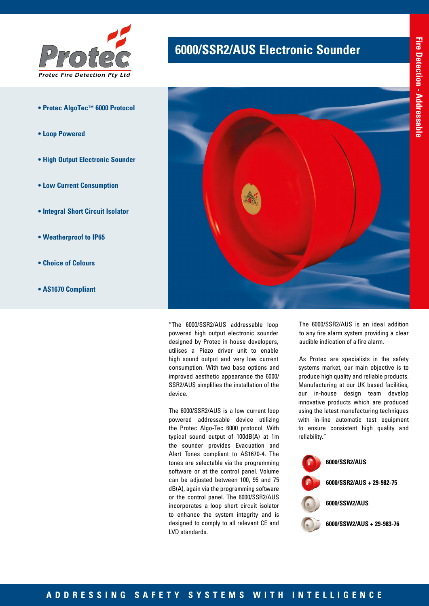

- **Protec AlgoTec™ 6000 Protocol**
- **Loop Powered**
- **High Output Electronic Sounder**
- **Low Current Consumption**
- **Integral Short Circuit Isolator**
- **Weatherproof to IP65**
- **Choice of Colours**
- **AS1670 Compliant**

# **6000/SSR2/AUS Electronic Sounder**



"The 6000/SSR2/AUS addressable loop powered high output electronic sounder designed by Protec in house developers, utilises a Piezo driver unit to enable high sound output and very low current consumption. With two base options and improved aesthetic appearance the 6000/ SSR2/AUS simplifies the installation of the device.

The 6000/SSR2/AUS is a low current loop powered addressable device utilizing the Protec Algo-Tec 6000 protocol .With typical sound output of 100dB(A) at 1m the sounder provides Evacuation and Alert Tones compliant to AS1670-4. The tones are selectable via the programming software or at the control panel. Volume can be adjusted between 100, 95 and 75 dB(A), again via the programming software or the control panel. The 6000/SSR2/AUS incorporates a loop short circuit isolator to enhance the system integrity and is designed to comply to all relevant CE and LVD standards.

The 6000/SSR2/AUS is an ideal addition to any fire alarm system providing a clear audible indication of a fire alarm.

As Protec are specialists in the safety systems market, our main objective is to produce high quality and reliable products. Manufacturing at our UK based facilities, our in-house design team develop innovative products which are produced using the latest manufacturing techniques with in-line automatic test equipment to ensure consistent high quality and reliability."